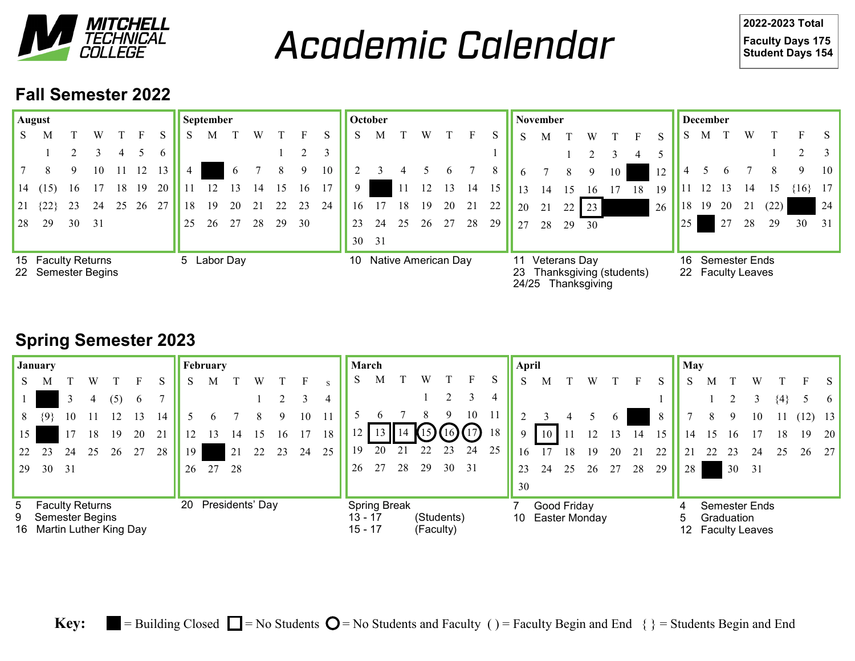

**Academic Calendar** 

**-2023 Total Faculty Days 175 Student Days 154** 

## **Fall Semester 2022**

|                                          | August            |    |    |    |     |             |    | <b>September</b> |          |    |    |    |    |    | October                   |      |    |    |    |    |          | November                                                                  |    |    |    |    |    |    | <b>December</b>                           |    |    |      |          |                 |
|------------------------------------------|-------------------|----|----|----|-----|-------------|----|------------------|----------|----|----|----|----|----|---------------------------|------|----|----|----|----|----------|---------------------------------------------------------------------------|----|----|----|----|----|----|-------------------------------------------|----|----|------|----------|-----------------|
| S                                        | М                 |    |    |    |     |             |    | М                |          | W  |    |    |    | S  | M                         |      |    |    |    | S. | S        | М                                                                         |    | W  |    |    | S  |    | М                                         |    |    |      |          |                 |
|                                          |                   |    |    |    |     | 6           |    |                  |          |    |    |    |    |    |                           |      |    |    |    |    |          |                                                                           |    |    |    |    |    |    |                                           |    |    |      |          |                 |
|                                          |                   | 9  | 10 |    |     |             |    |                  | $\sigma$ |    |    | 9  | 10 |    |                           |      |    |    |    | 8  | $\sigma$ |                                                                           | 8  | 9  | 10 |    | 12 |    |                                           |    |    |      | 9        | 10              |
| 14                                       | (15)              | 16 |    | 8  | -19 | 20          |    |                  |          | 14 | 15 | 16 |    | 9  |                           | - 11 | 12 | 13 | 14 |    | 13       | 14                                                                        |    | 16 | 17 | 18 | 19 |    |                                           |    |    |      | $\{16\}$ | 17 <sup>1</sup> |
| 21                                       | $\left(22\right)$ | 23 | 24 | 25 | 26  | 27          | 18 | 19               | 20       |    |    | 23 | 24 | 16 |                           |      | 19 | 20 | 21 | 22 | 20       | 21                                                                        | 22 | 23 |    |    | 26 | 18 | 19                                        | 20 | 21 | (22) |          | 24              |
| 28                                       | 29                | 30 | 31 |    |     |             | 25 | 26               | 27       | 28 | 29 | 30 |    | 23 | 24                        | 25   | 26 | 27 | 28 | 29 | 27       | 28                                                                        | 29 | 30 |    |    |    | 25 |                                           | 27 | 28 | 29   | 30       | 31 <sup>1</sup> |
|                                          |                   |    |    |    |     |             |    |                  |          |    |    |    |    | 30 | 31                        |      |    |    |    |    |          |                                                                           |    |    |    |    |    |    |                                           |    |    |      |          |                 |
| 15 Faculty Returns<br>22 Semester Begins |                   |    |    |    |     | 5 Labor Day |    |                  |          |    |    |    |    |    | Native American Day<br>10 |      |    |    |    |    |          | 11 Veterans Day<br>Thanksgiving (students)<br>23<br>24/25<br>Thanksgiving |    |    |    |    |    |    | Semester Ends<br>16.<br>22 Faculty Leaves |    |    |      |          |                 |

# **Spring Semester 2023**

|                                                                     | January |    |    |     |    |    |                    | February |    |    |    |    |    | <b>March</b>    |                                                                        |                   |    |    |    |    |          | April                           |    |     |              |    |    |    | <b>May</b> |    |                                                      |         |    |                 |  |  |
|---------------------------------------------------------------------|---------|----|----|-----|----|----|--------------------|----------|----|----|----|----|----|-----------------|------------------------------------------------------------------------|-------------------|----|----|----|----|----------|---------------------------------|----|-----|--------------|----|----|----|------------|----|------------------------------------------------------|---------|----|-----------------|--|--|
| S.                                                                  |         |    | W  |     |    |    |                    | М        |    | W  |    |    |    | S               | М                                                                      |                   | W  |    |    |    | S        | M                               |    | W   |              |    | S  | S  | М          |    |                                                      |         |    |                 |  |  |
|                                                                     |         | 3  | 4  | (5) | 6  |    |                    |          |    |    |    |    |    |                 |                                                                        |                   |    |    |    |    |          |                                 |    |     |              |    |    |    |            |    |                                                      | $\{4\}$ |    | h.              |  |  |
| 8                                                                   | {9}     |    |    |     |    | 14 |                    |          |    |    | 9  | 10 | 11 |                 |                                                                        |                   |    |    | 10 | 11 |          |                                 |    |     | <sub>b</sub> |    |    |    | 8          |    | 10                                                   |         |    | 13 <sup>1</sup> |  |  |
| 15                                                                  |         |    | 18 | 19  | 20 | 21 |                    |          |    |    | 16 |    | 18 | 12 <sub>1</sub> |                                                                        | $13 \parallel 14$ |    |    |    | 18 | $\Omega$ | 10                              |    | 12  |              | 14 |    | 14 |            | 16 |                                                      | 18      | 19 | <b>20</b>       |  |  |
| 22                                                                  |         | 24 | 25 | 26  | 27 | 28 | 19.                |          | 21 | 22 | 23 | 24 | 25 | 19              | 20                                                                     |                   |    | 23 | 24 | 25 | 16       |                                 |    | l Q | 20           |    | 22 |    |            | 23 | 24                                                   |         | 26 | 27.             |  |  |
| 29                                                                  | 30      | 31 |    |     |    |    | 26                 | 27       | 28 |    |    |    |    | 26              | 27                                                                     | 28                | 29 | 30 | 31 |    | 23       | 24                              | 25 | 26  | 27           | 28 | 29 | 28 |            | 30 | 31                                                   |         |    |                 |  |  |
|                                                                     |         |    |    |     |    |    |                    |          |    |    |    |    |    |                 |                                                                        |                   |    |    |    |    | 30       |                                 |    |     |              |    |    |    |            |    |                                                      |         |    |                 |  |  |
| 5 Faculty Returns<br>9 Semester Begins<br>16 Martin Luther King Day |         |    |    |     |    |    | 20 Presidents' Day |          |    |    |    |    |    |                 | <b>Spring Break</b><br>(Students)<br>13 - 17<br>$15 - 17$<br>(Faculty) |                   |    |    |    |    |          | Good Friday<br>10 Easter Monday |    |     |              |    |    |    | 12         |    | Semester Ends<br>Graduation<br><b>Faculty Leaves</b> |         |    |                 |  |  |